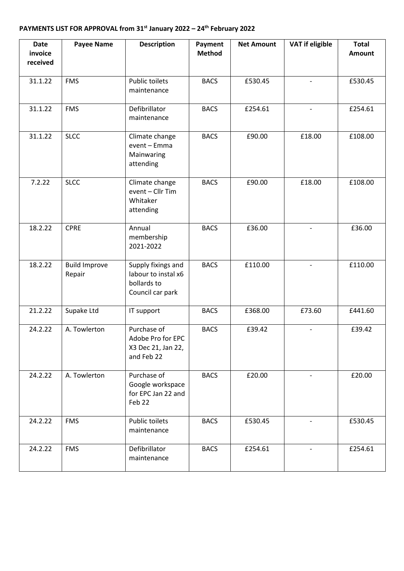## **PAYMENTS LIST FOR APPROVAL from 31st January 2022 – 24th February 2022**

| <b>Date</b><br>invoice<br>received | <b>Payee Name</b>              | <b>Description</b>                                                           | Payment<br><b>Method</b> | <b>Net Amount</b> | <b>VAT if eligible</b>   | <b>Total</b><br><b>Amount</b> |
|------------------------------------|--------------------------------|------------------------------------------------------------------------------|--------------------------|-------------------|--------------------------|-------------------------------|
| 31.1.22                            | <b>FMS</b>                     | <b>Public toilets</b><br>maintenance                                         | <b>BACS</b>              | £530.45           | $\overline{\phantom{a}}$ | £530.45                       |
| 31.1.22                            | <b>FMS</b>                     | Defibrillator<br>maintenance                                                 | <b>BACS</b>              | £254.61           | $\overline{\phantom{a}}$ | £254.61                       |
| 31.1.22                            | <b>SLCC</b>                    | Climate change<br>event - Emma<br>Mainwaring<br>attending                    | <b>BACS</b>              | £90.00            | £18.00                   | £108.00                       |
| 7.2.22                             | <b>SLCC</b>                    | Climate change<br>event - Cllr Tim<br>Whitaker<br>attending                  | <b>BACS</b>              | £90.00            | £18.00                   | £108.00                       |
| 18.2.22                            | <b>CPRE</b>                    | Annual<br>membership<br>2021-2022                                            | <b>BACS</b>              | £36.00            |                          | £36.00                        |
| 18.2.22                            | <b>Build Improve</b><br>Repair | Supply fixings and<br>labour to instal x6<br>bollards to<br>Council car park | <b>BACS</b>              | £110.00           |                          | £110.00                       |
| 21.2.22                            | Supake Ltd                     | IT support                                                                   | <b>BACS</b>              | £368.00           | £73.60                   | £441.60                       |
| 24.2.22                            | A. Towlerton                   | Purchase of<br>Adobe Pro for EPC<br>X3 Dec 21, Jan 22,<br>and Feb 22         | <b>BACS</b>              | £39.42            |                          | £39.42                        |
| 24.2.22                            | A. Towlerton                   | Purchase of<br>Google workspace<br>for EPC Jan 22 and<br>Feb 22              | <b>BACS</b>              | £20.00            |                          | £20.00                        |
| 24.2.22                            | <b>FMS</b>                     | <b>Public toilets</b><br>maintenance                                         | <b>BACS</b>              | £530.45           |                          | £530.45                       |
| 24.2.22                            | <b>FMS</b>                     | Defibrillator<br>maintenance                                                 | <b>BACS</b>              | £254.61           |                          | £254.61                       |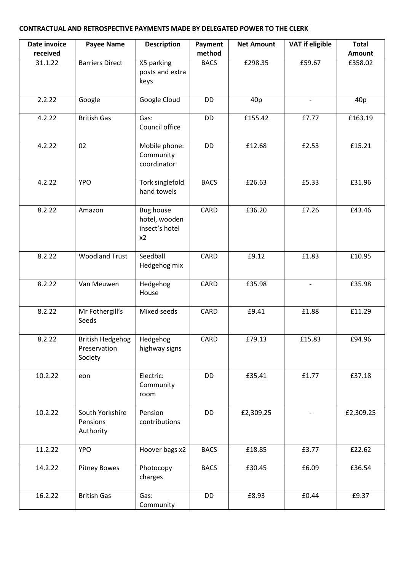## **CONTRACTUAL AND RETROSPECTIVE PAYMENTS MADE BY DELEGATED POWER TO THE CLERK**

| Date invoice        | <b>Payee Name</b>                                  | <b>Description</b>                                        | Payment               | <b>Net Amount</b> | <b>VAT if eligible</b>   | <b>Total</b>      |
|---------------------|----------------------------------------------------|-----------------------------------------------------------|-----------------------|-------------------|--------------------------|-------------------|
| received<br>31.1.22 | <b>Barriers Direct</b>                             | X5 parking<br>posts and extra<br>keys                     | method<br><b>BACS</b> | £298.35           | £59.67                   | Amount<br>£358.02 |
| 2.2.22              | Google                                             | Google Cloud                                              | <b>DD</b>             | 40p               |                          | 40p               |
| 4.2.22              | <b>British Gas</b>                                 | Gas:<br>Council office                                    | DD                    | £155.42           | £7.77                    | £163.19           |
| 4.2.22              | 02                                                 | Mobile phone:<br>Community<br>coordinator                 | DD                    | £12.68            | £2.53                    | £15.21            |
| 4.2.22              | <b>YPO</b>                                         | Tork singlefold<br>hand towels                            | <b>BACS</b>           | £26.63            | £5.33                    | £31.96            |
| 8.2.22              | Amazon                                             | <b>Bug house</b><br>hotel, wooden<br>insect's hotel<br>x2 | CARD                  | £36.20            | £7.26                    | £43.46            |
| 8.2.22              | <b>Woodland Trust</b>                              | Seedball<br>Hedgehog mix                                  | CARD                  | £9.12             | £1.83                    | £10.95            |
| 8.2.22              | Van Meuwen                                         | Hedgehog<br>House                                         | CARD                  | £35.98            | $\overline{\phantom{0}}$ | £35.98            |
| 8.2.22              | Mr Fothergill's<br>Seeds                           | Mixed seeds                                               | CARD                  | £9.41             | £1.88                    | £11.29            |
| 8.2.22              | <b>British Hedgehog</b><br>Preservation<br>Society | Hedgehog<br>highway signs                                 | CARD                  | £79.13            | £15.83                   | £94.96            |
| 10.2.22             | eon                                                | Electric:<br>Community<br>room                            | DD                    | £35.41            | £1.77                    | £37.18            |
| 10.2.22             | South Yorkshire<br>Pensions<br>Authority           | Pension<br>contributions                                  | DD                    | £2,309.25         |                          | £2,309.25         |
| 11.2.22             | <b>YPO</b>                                         | Hoover bags x2                                            | <b>BACS</b>           | £18.85            | £3.77                    | £22.62            |
| 14.2.22             | <b>Pitney Bowes</b>                                | Photocopy<br>charges                                      | <b>BACS</b>           | £30.45            | £6.09                    | £36.54            |
| 16.2.22             | <b>British Gas</b>                                 | Gas:<br>Community                                         | DD                    | £8.93             | £0.44                    | £9.37             |